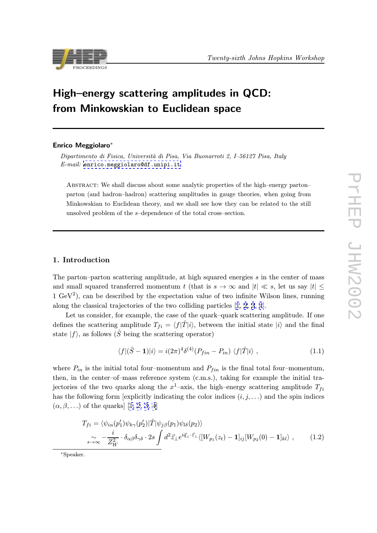<span id="page-0-0"></span>

# High–energy scattering amplitudes in QCD: from Minkowskian to Euclidean space

### Enrico Meggiolaro∗

Dipartimento di Fisica, Università di Pisa, Via Buonarroti 2, I–56127 Pisa, Italy  $E$ -mail: enrico.meggiolaro@df.unipi.it

Abstract: We shall discuss about some analytic properties of the high–energy parton– parto[n \(and hadron–hadron\) scattering a](mailto:enrico.meggiolaro@df.unipi.it)mplitudes in gauge theories, when going from Minkowskian to Euclidean theory, and we shall see how they can be related to the still unsolved problem of the s–dependence of the total cross–section.

## 1. Introduction

The parton–parton scattering amplitude, at high squared energies s in the center of mass and small squared transferred momentum t (that is  $s \to \infty$  and  $|t| \ll s$ , let us say  $|t| \leq$ 1 GeV<sup>2</sup>), can be described by the expectation value of two infinite Wilson lines, running along the classical trajectories of the two colliding particles [1, 2, 3, 4].

Let us consider, for example, the case of the quark–quark scattering amplitude. If one defines the scattering amplitude  $T_{fi} = \langle f|\hat{T}|i\rangle$ , between the initial state  $|i\rangle$  and the final state  $|f\rangle$ , as follows ( $\hat{S}$  being the scattering operator)

$$
\langle f | (\hat{S} - \mathbf{1}) | i \rangle = i (2\pi)^4 \delta^{(4)} (P_{fin} - P_{in}) \langle f | \hat{T} | i \rangle , \qquad (1.1)
$$

where  $P_{in}$  is the initial total four–momentum and  $P_{fin}$  is the final total four–momentum, then, in the center–of–mass reference system (c.m.s.), taking for example the initial trajectories of the two quarks along the  $x^1$ –axis, the high–energy scattering amplitude  $T_{fi}$ has the following form [explicitly indicating the color indices  $(i, j, \ldots)$  and the spin indices  $(\alpha, \beta, \ldots)$  of the quarks [1, 2, 3, 4]

$$
T_{fi} = \langle \psi_{i\alpha}(p'_1)\psi_{k\gamma}(p'_2)|\hat{T}|\psi_{j\beta}(p_1)\psi_{l\delta}(p_2)\rangle
$$
  

$$
\int_{s\to\infty} \frac{i}{Z_W^2} \cdot \delta_{\alpha\beta}\delta_{\gamma\delta} \cdot 2s \int d^2\vec{z}_{\perp} e^{i\vec{q}_{\perp}\cdot\vec{z}_{\perp}} \langle [W_{p_1}(z_t) - \mathbf{1}]_{ij} [W_{p_2}(0) - \mathbf{1}]_{kl}\rangle , \qquad (1.2)
$$

∗Speaker.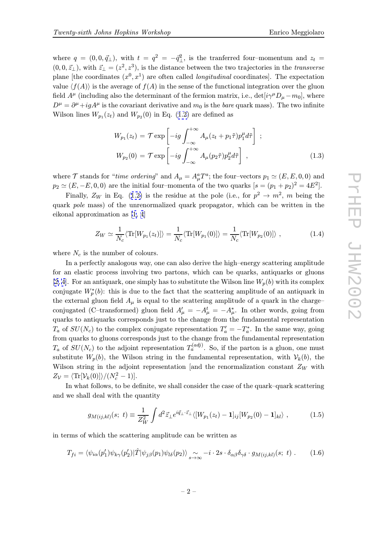<span id="page-1-0"></span>where  $q = (0, 0, \vec{q}_{\perp})$ , with  $t = q^2 = -\vec{q}_{\perp}^2$ , is the tranferred four-momentum and  $z_t =$  $(0, 0, \vec{z}_{\perp})$ , with  $\vec{z}_{\perp} = (z^2, z^3)$ , is the distance between the two trajectories in the transverse plane [the coordinates  $(x^0, x^1)$  are often called *longitudinal* coordinates]. The expectation value  $\langle f(A) \rangle$  is the average of  $f(A)$  in the sense of the functional integration over the gluon field  $A^{\mu}$  (including also the determinant of the fermion matrix, i.e., det[ $i\gamma^{\mu}D_{\mu}-m_0$ ], where  $D^{\mu} = \partial^{\mu} + igA^{\mu}$  is the covariant derivative and  $m_0$  is the *bare* quark mass). The two infinite Wilson lines  $W_{p_1}(z_t)$  and  $W_{p_2}(0)$  in Eq. (1.2) are defined as

$$
W_{p_1}(z_t) = \mathcal{T} \exp\left[-ig \int_{-\infty}^{+\infty} A_{\mu}(z_t + p_1 \tilde{\tau}) p_1^{\mu} d\tilde{\tau}\right];
$$
  

$$
W_{p_2}(0) = \mathcal{T} \exp\left[-ig \int_{-\infty}^{+\infty} A_{\mu}(p_2 \tilde{\tau}) p_2^{\mu} d\tilde{\tau}\right],
$$
 (1.3)

where  $\mathcal T$  stands for "*time ordering*" and  $A_\mu = A_\mu^a T^a$ ; the four-vectors  $p_1 \simeq (E, E, 0, 0)$  and  $p_2 \simeq (E, -E, 0, 0)$  are the initial four–momenta of the two quarks  $[s = (p_1 + p_2)^2 = 4E^2]$ .

Finally,  $Z_W$  in Eq. (1.2) is the residue at the pole (i.e., for  $p^2 \to m^2$ , m being the quark pole mass) of the unrenormalized quark propagator, which can be written in the eikonal approximation as [1, 4]

$$
Z_W \simeq \frac{1}{N_c} \langle \text{Tr}[W_{p_1}(z_t)] \rangle = \frac{1}{N_c} \langle \text{Tr}[W_{p_1}(0)] \rangle = \frac{1}{N_c} \langle \text{Tr}[W_{p_2}(0)] \rangle , \qquad (1.4)
$$

where  $N_c$  is the number of colours.

In a perfectly analogous way, one can also derive the high–energy scattering amplitude for an elastic process involving two partons, which can be quarks, antiquarks or gluons [2, 4]. For an antiquark, one simply has to substitute the Wilson line  $W_p(b)$  with its complex conjugate  $W_p^*(b)$ : this is due to the fact that the scattering amplitude of an antiquark in the external gluon field  $A_\mu$  is equal to the scattering amplitude of a quark in the charge– [conju](#page-8-0)gated (C–transformed) gluon field  $A'_{\mu} = -A_{\mu}^{t} = -A_{\mu}^{*}$ . In other words, going from quarks to antiquarks corresponds just to the change from the fundamental representation  $T_a$  of  $SU(N_c)$  to the complex conjugate representation  $T'_a = -T_a^*$ . In the same way, going from quarks to gluons corresponds just to the change from the fundamental representation  $T_a$  of  $SU(N_c)$  to the adjoint representation  $T_a^{(adj)}$ . So, if the parton is a gluon, one must substitute  $W_p(b)$ , the Wilson string in the fundamental representation, with  $V_k(b)$ , the Wilson string in the adjoint representation [and the renormalization constant  $Z_W$  with  $Z_{\mathcal{V}} = \langle \text{Tr}[\mathcal{V}_k(0)] \rangle / (N_c^2 - 1)].$ 

In what follows, to be definite, we shall consider the case of the quark–quark scattering and we shall deal with the quantity

$$
g_{M(ij,kl)}(s; t) \equiv \frac{1}{Z_W^2} \int d^2 \vec{z}_{\perp} e^{i\vec{q}_{\perp} \cdot \vec{z}_{\perp}} \langle [W_{p_1}(z_t) - 1]_{ij} [W_{p_2}(0) - 1]_{kl} \rangle , \qquad (1.5)
$$

in terms of which the scattering amplitude can be written as

$$
T_{fi} = \langle \psi_{i\alpha}(p'_1)\psi_{k\gamma}(p'_2)|\hat{T}|\psi_{j\beta}(p_1)\psi_{l\delta}(p_2)\rangle \sum_{s\to\infty} -i\cdot 2s\cdot \delta_{\alpha\beta}\delta_{\gamma\delta} \cdot g_{M(ij,kl)}(s; t) \ . \tag{1.6}
$$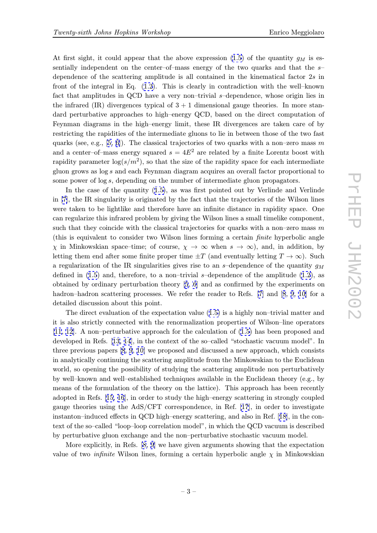At first sight, it could appear that the above expression (1.5) of the quantity  $g_M$  is essentially independent on the center–of–mass energy of the two quarks and that the  $s$ dependence of the scattering amplitude is all contained in the kinematical factor 2s in front of the integral in Eq. (1.2). This is clearly in cont[radi](#page-1-0)ction with the well–known fact that amplitudes in QCD have a very non–trivial s–dependence, whose origin lies in the infrared  $(IR)$  divergences typical of  $3 + 1$  dimensional gauge theories. In more standard perturbative approaches [to](#page-0-0) high–energy QCD, based on the direct computation of Feynman diagrams in the high–energy limit, these IR divergences are taken care of by restricting the rapidities of the intermediate gluons to lie in between those of the two fast quarks (see, e.g., [5, 6]). The classical trajectories of two quarks with a non–zero mass m and a center–of–mass energy squared  $s = 4E^2$  are related by a finite Lorentz boost with rapidity parameter  $\log(s/m^2)$ , so that the size of the rapidity space for each intermediate gluon grows as log [s](#page-8-0) [an](#page-9-0)d each Feynman diagram acquires an overall factor proportional to some power of log s, depending on the number of intermediate gluon propagators.

In the case of the quantity (1.5), as was first pointed out by Verlinde and Verlinde in [7], the IR singularity is originated by the fact that the trajectories of the Wilson lines were taken to be lightlike and therefore have an infinite distance in rapidity space. One can regularize this infrared proble[m b](#page-1-0)y giving the Wilson lines a small timelike component, suc[h](#page-9-0) that they coincide with the classical trajectories for quarks with a non–zero mass  $m$ (this is equivalent to consider two Wilson lines forming a certain finite hyperbolic angle  $\chi$  in Minkowskian space–time; of course,  $\chi \to \infty$  when  $s \to \infty$ ), and, in addition, by letting them end after some finite proper time  $\pm T$  (and eventually letting  $T \to \infty$ ). Such a regularization of the IR singularities gives rise to an s-dependence of the quantity  $q_M$ defined in  $(1.5)$  and, therefore, to a non-trivial s-dependence of the amplitude  $(1.2)$ , as obtained by ordinary perturbation theory [5, 6] and as confirmed by the experiments on hadron–hadron scattering processes. We refer the reader to Refs. [7] and [8, 9, 10] for a detailed dis[cus](#page-1-0)sion about this point.

The direct evaluation of the expectatio[n](#page-8-0) v[al](#page-9-0)ue (1.5) is a highly non–trivial ma[tter](#page-0-0) and it is also strictly connected with the renormalization properties of [W](#page-9-0)ilson–[li](#page-9-0)n[e](#page-9-0) [ope](#page-9-0)rators [11, 12]. A non–perturbative approach for the calculation of (1.5) has been proposed and developed in Refs. [13, 14], in the context of the so[–cal](#page-1-0)led "stochastic vacuum model". In three previous papers [8, 9, 10] we proposed and discussed a new approach, which consists [in anal](#page-9-0)ytically continuing the scattering amplitude from the M[inko](#page-1-0)wskian to the Euclidean world, so opening t[he](#page-9-0) [pos](#page-9-0)sibility of studying the scattering amplitude non perturbatively by well–known and we[ll–es](#page-9-0)t[abl](#page-9-0)ished techniques available in the Euclidean theory (e.g., by means of the formulation of the theory on the lattice). This approach has been recently adopted in Refs. [15, 16], in order to study the high–energy scattering in strongly coupled gauge theories using the AdS/CFT correspondence, in Ref. [17], in order to investigate instanton–induced effects in QCD high–energy scattering, and also in Ref. [18], in the context of the so–call[ed](#page-9-0) ["loo](#page-9-0)p–loop correlation model", in which the QCD vacuum is described by perturbative gluon exchange and the non–perturbative sto[cha](#page-9-0)stic vacuum model.

More explicitly, in Refs. [8, 9] we have given arguments showing that [the](#page-9-0) expectation value of two *infinite* Wilson lines, forming a certain hyperbolic angle  $\chi$  in Minkowskian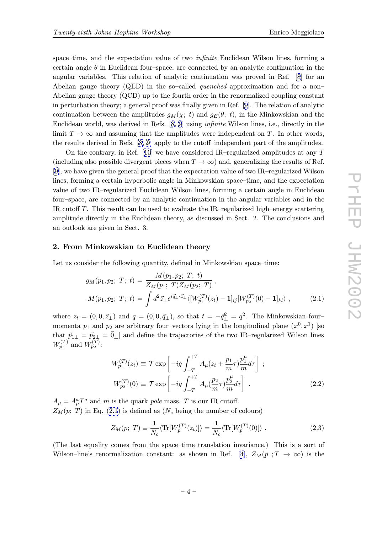<span id="page-3-0"></span>certain angle  $\theta$  in Euclidean four–space, are connected by an analytic continuation in the angular variables. This relation of analytic continuation was proved in Ref. [8] for an Abelian gauge theory (QED) in the so-called *quenched* approximation and for a non– Abelian gauge theory (QCD) up to the fourth order in the renormalized coupling constant in perturbation theory; a general proof was finally given in Ref. [9]. The relation o[f](#page-9-0) analytic continuation between the amplitudes  $g_M(\chi; t)$  and  $g_E(\theta; t)$ , in the Minkowskian and the Euclidean world, was derived in Refs. [8, 9] using infinite Wilson lines, i.e., directly in the limit  $T \to \infty$  and assuming that the amplitu[de](#page-9-0)s were independent on T. In other words, the results derived in Refs. [8, 9] apply to the cutoff–independent part of the amplitudes.

On the contrary, in Ref. [10] we h[ave c](#page-9-0)onsidered IR–regularized amplitudes at any  $T$ (including also possible divergent pieces when  $T \to \infty$ ) and, generalizing the results of Ref. [9], we have given the genera[l pro](#page-9-0)of that the expectation value of two IR–regularized Wilson lines, forming a certain hyper[bol](#page-9-0)ic angle in Minkowskian space–time, and the expectation value of two IR–regularized Euclidean Wilson lines, forming a certain angle in Euclidean [fo](#page-9-0)ur–space, are connected by an analytic continuation in the angular variables and in the IR cutoff T. This result can be used to evaluate the IR–regularized high–energy scattering amplitude directly in the Euclidean theory, as discussed in Sect. 2. The conclusions and an outlook are given in Sect. 3.

## 2. From Minkowskian to Euclidean theory

Let us consider the following quantity, defined in Minkowskian space–time:

$$
g_M(p_1, p_2; T; t) = \frac{M(p_1, p_2; T; t)}{Z_M(p_1; T)Z_M(p_2; T)},
$$
  
\n
$$
M(p_1, p_2; T; t) = \int d^2 \vec{z}_{\perp} e^{i\vec{q}_{\perp} \cdot \vec{z}_{\perp}} \langle [W_{p_1}^{(T)}(z_t) - \mathbf{1}]_{ij} [W_{p_2}^{(T)}(0) - \mathbf{1}]_{kl} \rangle ,
$$
\n(2.1)

where  $z_t = (0, 0, \vec{z}_\perp)$  and  $q = (0, 0, \vec{q}_\perp)$ , so that  $t = -\vec{q}^2_\perp = q^2$ . The Minkowskian fourmomenta  $p_1$  and  $p_2$  are arbitrary four-vectors lying in the longitudinal plane  $(x^0, x^1)$  [so that  $\vec{p}_{1\perp} = \vec{p}_{2\perp} = \vec{0}_{\perp}$  and define the trajectories of the two IR–regularized Wilson lines  $W_{p_1}^{(T)}$  and  $W_{p_2}^{(T)}$ :

$$
W_{p_1}^{(T)}(z_t) \equiv \mathcal{T} \exp\left[-ig \int_{-T}^{+T} A_\mu (z_t + \frac{p_1}{m} \tau) \frac{p_1^\mu}{m} d\tau\right] ;
$$
  
\n
$$
W_{p_2}^{(T)}(0) \equiv \mathcal{T} \exp\left[-ig \int_{-T}^{+T} A_\mu (\frac{p_2}{m} \tau) \frac{p_2^\mu}{m} d\tau\right] .
$$
\n(2.2)

 $A_{\mu} = A_{\mu}^{a} T^{a}$  and m is the quark pole mass. T is our IR cutoff.  $Z_M(p; T)$  in Eq. (2.1) is defined as (N<sub>c</sub> being the number of colours)

$$
Z_M(p; T) \equiv \frac{1}{N_c} \langle \text{Tr}[W_p^{(T)}(z_t)] \rangle = \frac{1}{N_c} \langle \text{Tr}[W_p^{(T)}(0)] \rangle . \tag{2.3}
$$

(The last equality comes from the space–time translation invariance.) This is a sort of Wilson–line's renormalization constant: as shown in Ref. [4],  $Z_M(p : T \to \infty)$  is the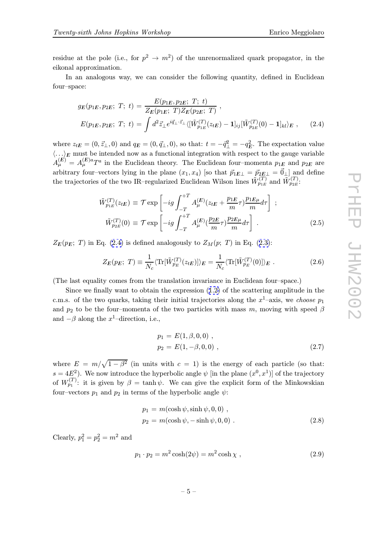<span id="page-4-0"></span>residue at the pole (i.e., for  $p^2 \to m^2$ ) of the unrenormalized quark propagator, in the eikonal approximation.

In an analogous way, we can consider the following quantity, defined in Euclidean four–space:

$$
g_E(p_{1E}, p_{2E}; T; t) = \frac{E(p_{1E}, p_{2E}; T; t)}{Z_E(p_{1E}; T) Z_E(p_{2E}; T)},
$$
  
\n
$$
E(p_{1E}, p_{2E}; T; t) = \int d^2 \vec{z} \, \mathrm{d}^2 \vec{z} \, \mathrm{d}^2 \vec{z} \, \mathrm{d}^2 [\tilde{W}_{p_{1E}}^{(T)}(z_{tE}) - \mathbf{1}]_{ij} [\tilde{W}_{p_{2E}}^{(T)}(0) - \mathbf{1}]_{kl} \rangle_E , \quad (2.4)
$$

where  $z_{tE} = (0, \vec{z}_{\perp}, 0)$  and  $q_E = (0, \vec{q}_{\perp}, 0)$ , so that:  $t = -\vec{q}_{\perp}^2 = -q_E^2$ . The expectation value  $\langle \ldots \rangle_E$  must be intended now as a functional integration with respect to the gauge variable  $A_{\mu}^{(E)} = A_{\mu}^{(E)a} T^a$  in the Euclidean theory. The Euclidean four-momenta  $p_{1E}$  and  $p_{2E}$  are arbitrary four–vectors lying in the plane  $(x_1, x_4)$  [so that  $\vec{p}_{1E\perp} = \vec{p}_{2E\perp} = \vec{0}_{\perp}$ ] and define the trajectories of the two IR-regularized Euclidean Wilson lines  $\widetilde{W}_{p_{1E}}^{(T)}$  and  $\widetilde{W}_{p_{2E}}^{(T)}$ :

$$
\tilde{W}_{p_{1E}}^{(T)}(z_{tE}) \equiv \mathcal{T} \exp\left[-ig \int_{-T}^{+T} A_{\mu}^{(E)}(z_{tE} + \frac{p_{1E}}{m}\tau) \frac{p_{1E\mu}}{m} d\tau\right] ;
$$
\n
$$
\tilde{W}_{p_{2E}}^{(T)}(0) \equiv \mathcal{T} \exp\left[-ig \int_{-T}^{+T} A_{\mu}^{(E)}(\frac{p_{2E}}{m}\tau) \frac{p_{2E\mu}}{m} d\tau\right] .
$$
\n(2.5)

 $Z_E(p_E; T)$  in Eq. (2.4) is defined analogously to  $Z_M(p; T)$  in Eq. (2.3):

$$
Z_E(p_E; T) \equiv \frac{1}{N_c} \langle \text{Tr}[\tilde{W}_{p_E}^{(T)}(z_{tE})] \rangle_E = \frac{1}{N_c} \langle \text{Tr}[\tilde{W}_{p_E}^{(T)}(0)] \rangle_E.
$$
 (2.6)

(The last equality comes from the translation invariance in Euclide[an](#page-3-0) [fo](#page-3-0)ur–space.)

Since we finally want to obtain the expression (1.2) of the scattering amplitude in the c.m.s. of the two quarks, taking their initial trajectories along the  $x^1$ -axis, we choose  $p_1$ and  $p_2$  to be the four–momenta of the two particles with mass m, moving with speed  $\beta$ and  $-\beta$  along the x<sup>1</sup>-direction, i.e.,

$$
p_1 = E(1, \beta, 0, 0) ,p_2 = E(1, -\beta, 0, 0) ,
$$
 (2.7)

where  $E = m/\sqrt{1 - \beta^2}$  (in units with  $c = 1$ ) is the energy of each particle (so that:  $s = 4E^2$ ). We now introduce the hyperbolic angle  $\psi$  [in the plane  $(x^0, x^1)$ ] of the trajectory of  $W_{p_1}^{(T)}$ : it is given by  $\beta = \tanh \psi$ . We can give the explicit form of the Minkowskian four–vectors  $p_1$  and  $p_2$  in terms of the hyperbolic angle  $\psi$ :

$$
p_1 = m(\cosh \psi, \sinh \psi, 0, 0) ,
$$
  
\n
$$
p_2 = m(\cosh \psi, -\sinh \psi, 0, 0) .
$$
\n(2.8)

Clearly,  $p_1^2 = p_2^2 = m^2$  and

$$
p_1 \cdot p_2 = m^2 \cosh(2\psi) = m^2 \cosh\chi \tag{2.9}
$$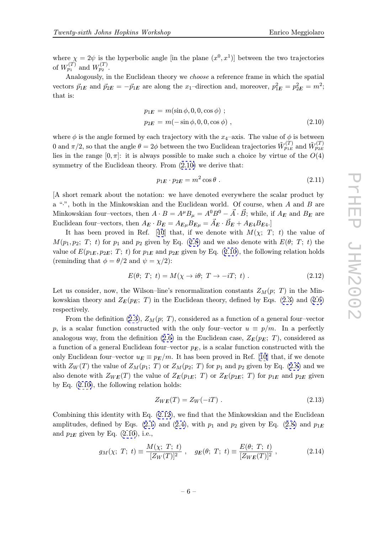Analogously, in the Euclidean theory we choose a reference frame in which the spatial vectors  $\vec{p}_{1E}$  and  $\vec{p}_{2E} = -\vec{p}_{1E}$  are along the  $x_1$ -direction and, moreover,  $p_{1E}^2 = p_{2E}^2 = m^2$ ; that is:

$$
p_{1E} = m(\sin \phi, 0, 0, \cos \phi) ;
$$
  
\n
$$
p_{2E} = m(-\sin \phi, 0, 0, \cos \phi) ,
$$
\n(2.10)

where  $\phi$  is the angle formed by each trajectory with the  $x_4$ -axis. The value of  $\phi$  is between 0 and  $\pi/2$ , so that the angle  $\theta = 2\phi$  between the two Euclidean trajectories  $\tilde{W}_{p_{1E}}^{(T)}$  and  $\tilde{W}_{p_{2E}}^{(T)}$ lies in the range  $[0, \pi]$ : it is always possible to make such a choice by virtue of the  $O(4)$ symmetry of the Euclidean theory. From  $(2.10)$  we derive that:

$$
p_{1E} \cdot p_{2E} = m^2 \cos \theta \tag{2.11}
$$

[A short remark about the notation: we have denoted everywhere the scalar product by a " $\cdot$ ", both in the Minkowskian and the Euclidean world. Of course, when A and B are Minkowskian four–vectors, then  $A \cdot B = A^{\mu}B_{\mu} = A^{0}B^{0} - \vec{A} \cdot \vec{B}$ ; while, if  $A_{E}$  and  $B_{E}$  are Euclidean four–vectors, then  $A_E \cdot B_E = A_{E\mu} B_{E\mu} = \vec{A}_E \cdot \vec{B}_E + A_{E4} B_{E4}$ .

It has been proved in Ref. [10] that, if we denote with  $M(\chi; T; t)$  the value of  $M(p_1, p_2; T; t)$  for  $p_1$  and  $p_2$  given by Eq. (2.8) and we also denote with  $E(\theta; T; t)$  the value of  $E(p_{1E}, p_{2E}; T; t)$  for  $p_{1E}$  and  $p_{2E}$  given by Eq. (2.10), the following relation holds (reminding that  $\phi = \theta/2$  and  $\psi = \chi/2$ ):

$$
E(\theta; T; t) = M(\chi \to i\theta; T \to -iT; t) . \qquad (2.12)
$$

Let us consider, now, the Wilson–line's renormalization constants  $Z_M(p; T)$  in the Minkowskian theory and  $Z_E(p_E; T)$  in the Euclidean theory, defined by Eqs. (2.3) and (2.6) respectively.

From the definition (2.3),  $Z_M(p; T)$ , considered as a function of a general four–vector p, is a scalar function constructed with the only four–vector  $u \equiv p/m$ . [In a](#page-3-0) perf[ectly](#page-4-0) analogous way, from the definition (2.6) in the Euclidean case,  $Z_E(p_E; T)$ , considered as a function of a general E[ucli](#page-3-0)dean four–vector  $p_E$ , is a scalar function constructed with the only Euclidean four–vector  $u_E \equiv p_E/m$ . It has been proved in Ref. [10] that, if we denote with  $Z_W(T)$  the value of  $Z_M(p_1; T)$  [or](#page-4-0)  $Z_M(p_2; T)$  for  $p_1$  and  $p_2$  given by Eq. (2.8) and we also denote with  $Z_{WE}(T)$  the value of  $Z_{E}(p_{1E}; T)$  or  $Z_{E}(p_{2E}; T)$  for  $p_{1E}$  and  $p_{2E}$  given by Eq. (2.10), the following relation holds:

$$
Z_{WE}(T) = Z_W(-iT) . \qquad (2.13)
$$

Combining this identity with Eq. (2.12), we find that the Minkowskian and the Euclidean amplitudes, defined by Eqs. (2.1) and (2.4), with  $p_1$  and  $p_2$  given by Eq. (2.8) and  $p_{1E}$ and  $p_{2E}$  given by Eq. (2.10), i.e.,

$$
g_M(\chi; T; t) \equiv \frac{M(\chi; T; t)}{[Z_W(T)]^2}, \quad g_E(\theta; T; t) \equiv \frac{E(\theta; T; t)}{[Z_{WE}(T)]^2}, \quad (2.14)
$$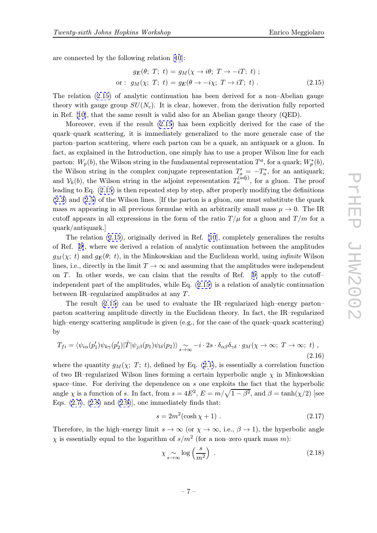<span id="page-6-0"></span>are connected by the following relation [10]:

$$
g_E(\theta; T; t) = g_M(\chi \to i\theta; T \to -iT; t) ;
$$
  
or: 
$$
g_M(\chi; T; t) = g_E(\theta \to -i\chi; T \to iT; t) .
$$
 (2.15)

The relation (2.15) of analytic continu[atio](#page-9-0)n has been derived for a non–Abelian gauge theory with gauge group  $SU(N_c)$ . It is clear, however, from the derivation fully reported in Ref. [10], that the same result is valid also for an Abelian gauge theory (QED).

Moreover, even if the result (2.15) has been explicitly derived for the case of the quark–quark scattering, it is immediately generalized to the more generale case of the parton–[par](#page-9-0)ton scattering, where each parton can be a quark, an antiquark or a gluon. In fact, as explained in the Introduction, one simply has to use a proper Wilson line for each parton:  $W_p(b)$ , the Wilson string in the fundamental representation  $T^a$ , for a quark;  $W_p^*(b)$ , the Wilson string in the complex conjugate representation  $T_a' = -T_a^*$ , for an antiquark; and  $V_k(b)$ , the Wilson string in the adjoint representation  $T_a^{(adj)}$ , for a gluon. The proof leading to Eq. (2.15) is then repeated step by step, after properly modifying the definitions (2.2) and (2.5) of the Wilson lines. [If the parton is a gluon, one must substitute the quark mass m appearing in all previous formulae with an arbitrarily small mass  $\mu \to 0$ . The IR cutoff appears in all expressions in the form of the ratio  $T/\mu$  for a gluon and  $T/m$  for a [quar](#page-3-0)k/ant[iqua](#page-4-0)rk.]

The relation (2.15), originally derived in Ref. [10], completely generalizes the results of Ref. [9], where we derived a relation of analytic continuation between the amplitudes  $g_M(\chi; t)$  and  $g_E(\theta; t)$ , in the Minkowskian and the Euclidean world, using *infinite* Wilson lines, i.e., directly in [th](#page-9-0)e limit  $T \to \infty$  and assuming that the amplitudes were independent o[n](#page-9-0) T. In other words, we can claim that the results of Ref. [9] apply to the cutoffindependent part of the amplitudes, while Eq. (2.15) is a relation of analytic continuation between IR–regularized amplitudes at any T.

The result (2.15) can be used to evaluate the IR–regulariz[ed](#page-9-0) high–energy parton– parton scattering amplitude directly in the Euclidean theory. In fact, the IR–regularized high–energy scattering amplitude is given (e.g., for the case of the quark–quark scattering) by

$$
T_{fi} = \langle \psi_{i\alpha}(p'_1)\psi_{k\gamma}(p'_2)|\hat{T}|\psi_{j\beta}(p_1)\psi_{l\delta}(p_2)\rangle \underset{s\to\infty}{\sim} -i\cdot 2s\cdot \delta_{\alpha\beta}\delta_{\gamma\delta}\cdot g_M(\chi\to\infty; T\to\infty; t) , \tag{2.16}
$$

where the quantity  $g_M(\chi; T; t)$ , defined by Eq. (2.1), is essentially a correlation function of two IR–regularized Wilson lines forming a certain hyperbolic angle  $\chi$  in Minkowskian space–time. For deriving the dependence on s one exploits the fact that the hyperbolic angle  $\chi$  is a function of s. In fact, from  $s = 4E^2$  $s = 4E^2$  $s = 4E^2$ ,  $E = m/\sqrt{1 - \beta^2}$ , and  $\beta = \tanh(\chi/2)$  [see Eqs.  $(2.7), (2.8)$  and  $(2.9)$ , one immediately finds that:

$$
s = 2m^2(\cosh \chi + 1) \tag{2.17}
$$

Therefore, in the high–energy limit  $s \to \infty$  (or  $\chi \to \infty$ , i.e.,  $\beta \to 1$ ), the hyperbolic angle  $\chi$  is e[ssen](#page-4-0)tia[lly](#page-4-0) equal [to](#page-4-0) [t](#page-4-0)he logarithm of  $s/m^2$  (for a non–zero quark mass m):

$$
\chi \underset{s \to \infty}{\sim} \log \left( \frac{s}{m^2} \right) \tag{2.18}
$$

$$
-7- \nonumber\\
$$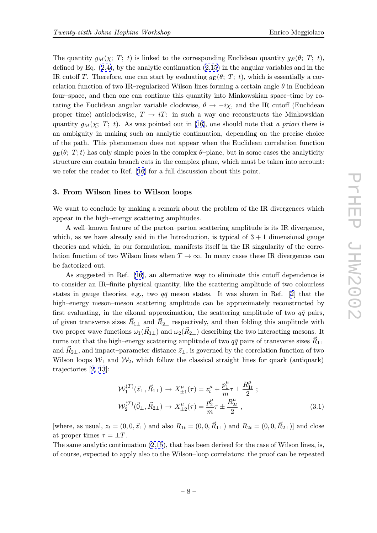The quantity  $g_M(\chi; T; t)$  is linked to the corresponding Euclidean quantity  $g_E(\theta; T; t)$ , defined by Eq.  $(2.4)$ , by the analytic continuation  $(2.15)$  in the angular variables and in the IR cutoff T. Therefore, one can start by evaluating  $g_E(\theta; T; t)$ , which is essentially a correlation function of two IR–regularized Wilson lines forming a certain angle  $\theta$  in Euclidean four–space, and [the](#page-4-0)n one can continue this quant[ity in](#page-6-0)to Minkowskian space–time by rotating the Euclidean angular variable clockwise,  $\theta \to -i\chi$ , and the IR cutoff (Euclidean proper time) anticlockwise,  $T \rightarrow iT$ : in such a way one reconstructs the Minkowskian quantity  $g_M(\chi; T; t)$ . As was pointed out in [16], one should note that a priori there is an ambiguity in making such an analytic continuation, depending on the precise choice of the path. This phenomenon does not appear when the Euclidean correlation function  $g_E(\theta; T; t)$  has only simple poles in the complex  $\theta$ -plane, but in some cases the analyticity structure can contain branch cuts in the complex plane, which must be taken into account: we refer the reader to Ref. [16] for a full discussion about this point.

#### 3. From Wilson lines to Wilson loops

We want to conclude by ma[kin](#page-9-0)g a remark about the problem of the IR divergences which appear in the high–energy scattering amplitudes.

A well–known feature of the parton–parton scattering amplitude is its IR divergence, which, as we have already said in the Introduction, is typical of  $3 + 1$  dimensional gauge theories and which, in our formulation, manifests itself in the IR singularity of the correlation function of two Wilson lines when  $T \to \infty$ . In many cases these IR divergences can be factorized out.

As suggested in Ref. [16], an alternative way to eliminate this cutoff dependence is to consider an IR–finite physical quantity, like the scattering amplitude of two colourless states in gauge theories, e.g., two  $q\bar{q}$  meson states. It was shown in Ref. [2] that the high–energy meson–meson [sca](#page-9-0)ttering amplitude can be approximately reconstructed by first evaluating, in the eikonal approximation, the scattering amplitude of two  $q\bar{q}$  pairs, of given transverse sizes  $\vec{R}_{1\perp}$  and  $\vec{R}_{2\perp}$  respectively, and then folding this am[pli](#page-8-0)tude with two proper wave functions  $\omega_1(\vec{R}_{1\perp})$  and  $\omega_2(\vec{R}_{2\perp})$  describing the two interacting mesons. It turns out that the high–energy scattering amplitude of two  $q\bar{q}$  pairs of transverse sizes  $\vec{R}_{1\perp}$ and  $R_{2\perp}$ , and impact–parameter distance  $\vec{z}_\perp$ , is governed by the correlation function of two Wilson loops  $W_1$  and  $W_2$ , which follow the classical straight lines for quark (antiquark) trajectories [2, 13]:

$$
\mathcal{W}_{1}^{(T)}(\vec{z}_{\perp}, \vec{R}_{1\perp}) \to X_{\pm 1}^{\mu}(\tau) = z_{t}^{\mu} + \frac{p_{1}^{\mu}}{m} \tau \pm \frac{R_{1t}^{\mu}}{2} ;
$$
  

$$
\mathcal{W}_{2}^{(T)}(\vec{0}_{\perp}, \vec{R}_{2\perp}) \to X_{\pm 2}^{\mu}(\tau) = \frac{p_{2}^{\mu}}{m} \tau \pm \frac{R_{2t}^{\mu}}{2} ,
$$
 (3.1)

[where, as usual,  $z_t = (0, 0, \vec{z}_\perp)$  and also  $R_{1t} = (0, 0, \vec{R}_{1\perp})$  and  $R_{2t} = (0, 0, \vec{R}_{2\perp})$ ] and close at proper times  $\tau = \pm T$ .

The same analytic continuation (2.15), that has been derived for the case of Wilson lines, is, of course, expected to apply also to the Wilson–loop correlators: the proof can be repeated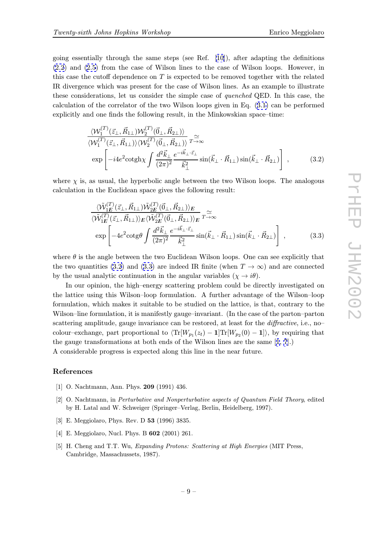<span id="page-8-0"></span>going essentially through the same steps (see Ref.  $[10]$ ), after adapting the definitions (2.2) and (2.5) from the case of Wilson lines to the case of Wilson loops. However, in this case the cutoff dependence on  $T$  is expected to be removed together with the related IR divergence which was present for the case of Wilso[n l](#page-9-0)ines. As an example to illustrate [thes](#page-3-0)e consi[der](#page-4-0)ations, let us consider the simple case of *quenched* QED. In this case, the calculation of the correlator of the two Wilson loops given in Eq. (3.1) can be performed explicitly and one finds the following result, in the Minkowskian space–time:

$$
\frac{\langle \mathcal{W}_{1}^{(T)}(\vec{z}_{\perp}, \vec{R}_{1\perp}) \mathcal{W}_{2}^{(T)}(\vec{0}_{\perp}, \vec{R}_{2\perp}) \rangle}{\langle \mathcal{W}_{1}^{(T)}(\vec{z}_{\perp}, \vec{R}_{1\perp}) \rangle \langle \mathcal{W}_{2}^{(T)}(\vec{0}_{\perp}, \vec{R}_{2\perp}) \rangle} \mathcal{F}^{\simeq}_{\rightarrow \infty}
$$
\n
$$
\exp \left[ -i4e^{2} \cot \frac{\Delta \vec{k}_{\perp}}{(\sqrt{2\pi})^{2}} \frac{e^{-i\vec{k}_{\perp} \cdot \vec{z}_{\perp}}}{\vec{k}_{\perp}^{2}} \sin(\vec{k}_{\perp} \cdot \vec{R}_{1\perp}) \sin(\vec{k}_{\perp} \cdot \vec{R}_{2\perp}) \right],
$$
\n(3.2)

where  $\chi$  is, as usual, the hyperbolic angle between the two Wilson loops. The analogous calculation in the Euclidean space gives the following result:

$$
\frac{\langle \tilde{\mathcal{W}}_{1E}^{(T)}(\vec{z}_{\perp}, \vec{R}_{1\perp}) \tilde{\mathcal{W}}_{2E}^{(T)}(\vec{0}_{\perp}, \vec{R}_{2\perp}) \rangle_E}{\langle \tilde{\mathcal{W}}_{1E}^{(T)}(\vec{z}_{\perp}, \vec{R}_{1\perp}) \rangle_E \langle \tilde{\mathcal{W}}_{2E}^{(T)}(\vec{0}_{\perp}, \vec{R}_{2\perp}) \rangle_E} \tau_{\rightarrow \infty}^{\simeq} \exp \left[ -4e^2 \cot \theta \int \frac{d^2 \vec{k}_{\perp}}{(2\pi)^2} \frac{e^{-i\vec{k}_{\perp} \cdot \vec{z}_{\perp}}}{\vec{k}_{\perp}^2} \sin(\vec{k}_{\perp} \cdot \vec{R}_{1\perp}) \sin(\vec{k}_{\perp} \cdot \vec{R}_{2\perp}) \right] , \qquad (3.3)
$$

where  $\theta$  is the angle between the two Euclidean Wilson loops. One can see explicitly that the two quantities (3.2) and (3.3) are indeed IR finite (when  $T \to \infty$ ) and are connected by the usual analytic continuation in the angular variables  $(\chi \to i\theta)$ .

In our opinion, the high–energy scattering problem could be directly investigated on the lattice using this Wilson–loop formulation. A further advantage of the Wilson–loop formulation, which makes it suitable to be studied on the lattice, is that, contrary to the Wilson–line formulation, it is manifestly gauge–invariant. (In the case of the parton–parton scattering amplitude, gauge invariance can be restored, at least for the *diffractive*, i.e., no– colour–exchange, part proportional to  $\langle \text{Tr}[W_{p1}(z_t) - 1] \text{Tr}[W_{p2}(0) - 1] \rangle$ , by requiring that the gauge transformations at both ends of the Wilson lines are the same [1, 7].)

A considerable progress is expected along this line in the near future.

#### References

- [1] O. Nachtmann, Ann. Phys. 209 (1991) 436.
- [2] O. Nachtmann, in Perturbative and Nonperturbative aspects of Quantum Field Theory, edited by H. Latal and W. Schweiger (Springer–Verlag, Berlin, Heidelberg, 1997).
- [3] E. Meggiolaro, Phys. Rev. D 53 (1996) 3835.
- [4] E. Meggiolaro, Nucl. Phys. B 602 (2001) 261.
- [5] H. Cheng and T.T. Wu, Expanding Protons: Scattering at High Energies (MIT Press, Cambridge, Massachussets, 1987).